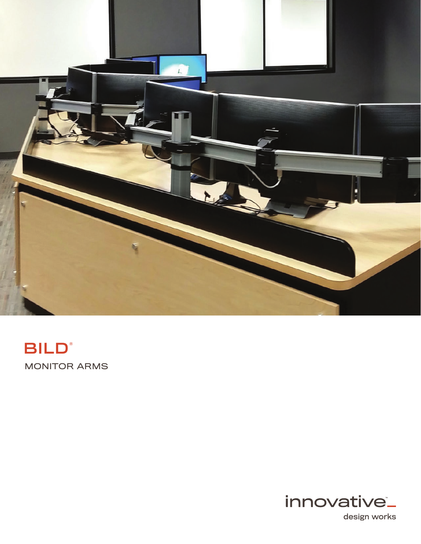

# MONITOR ARMS **BILD®**



design works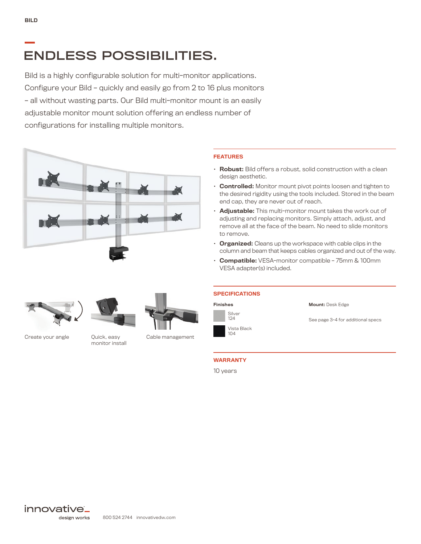## ENDLESS POSSIBILITIES.

Bild is a highly configurable solution for multi-monitor applications. Configure your Bild – quickly and easily go from 2 to 16 plus monitors – all without wasting parts. Our Bild multi-monitor mount is an easily adjustable monitor mount solution offering an endless number of configurations for installing multiple monitors.





- Robust: Bild offers a robust, solid construction with a clean design aesthetic.
- Controlled: Monitor mount pivot points loosen and tighten to the desired rigidity using the tools included. Stored in the beam end cap, they are never out of reach.
- Adjustable: This multi-monitor mount takes the work out of adjusting and replacing monitors. Simply attach, adjust, and remove all at the face of the beam. No need to slide monitors to remove.
- Organized: Cleans up the workspace with cable clips in the column and beam that keeps cables organized and out of the way.
- Compatible: VESA-monitor compatible 75mm & 100mm VESA adapter(s) included.





Create your angle **Quick, easy** Cable management

monitor install



Finishes

**SPECIFICATIONS** 

Silver 124 Vista Black Mount: Desk Edge

See page 3-4 for additional specs

### WARRANTY

10 years

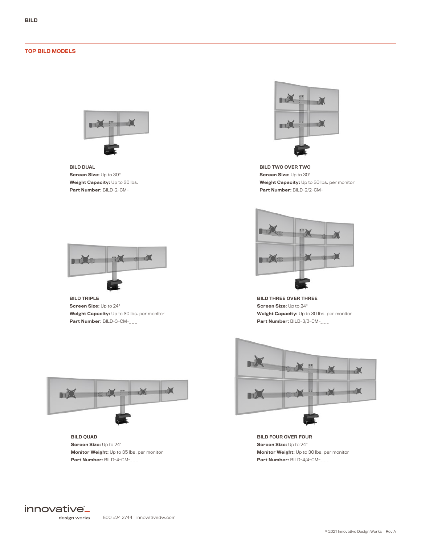#### TOP BILD MODELS



BILD DUAL Screen Size: Up to 30" Weight Capacity: Up to 30 lbs. Part Number: BILD-2-CM-\_\_\_



BILD TRIPLE Screen Size: Up to 24" Weight Capacity: Up to 30 lbs. per monitor Part Number: BILD-3-CM-\_\_\_



BILD QUAD Screen Size: Up to 24" Monitor Weight: Up to 35 lbs. per monitor Part Number: BILD-4-CM-\_\_\_



BILD TWO OVER TWO Screen Size: Up to 30" Weight Capacity: Up to 30 lbs. per monitor Part Number: BILD-2/2-CM-\_\_\_



BILD THREE OVER THREE Screen Size: Up to 24" Weight Capacity: Up to 30 lbs. per monitor Part Number: BILD-3/3-CM-\_\_\_



BILD FOUR OVER FOUR Screen Size: Up to 24" Monitor Weight: Up to 30 lbs. per monitor Part Number: BILD-4/4-CM-\_\_\_